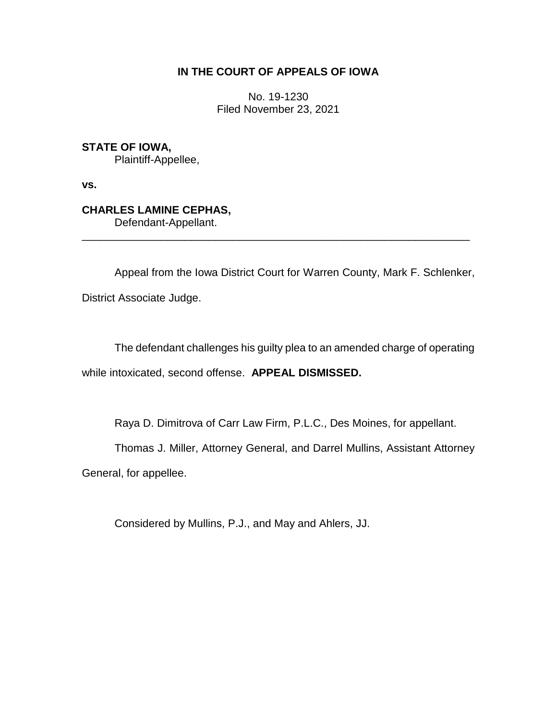## **IN THE COURT OF APPEALS OF IOWA**

No. 19-1230 Filed November 23, 2021

**STATE OF IOWA,** Plaintiff-Appellee,

**vs.**

## **CHARLES LAMINE CEPHAS,**

Defendant-Appellant.

Appeal from the Iowa District Court for Warren County, Mark F. Schlenker, District Associate Judge.

\_\_\_\_\_\_\_\_\_\_\_\_\_\_\_\_\_\_\_\_\_\_\_\_\_\_\_\_\_\_\_\_\_\_\_\_\_\_\_\_\_\_\_\_\_\_\_\_\_\_\_\_\_\_\_\_\_\_\_\_\_\_\_\_

The defendant challenges his guilty plea to an amended charge of operating while intoxicated, second offense. **APPEAL DISMISSED.**

Raya D. Dimitrova of Carr Law Firm, P.L.C., Des Moines, for appellant.

Thomas J. Miller, Attorney General, and Darrel Mullins, Assistant Attorney

General, for appellee.

Considered by Mullins, P.J., and May and Ahlers, JJ.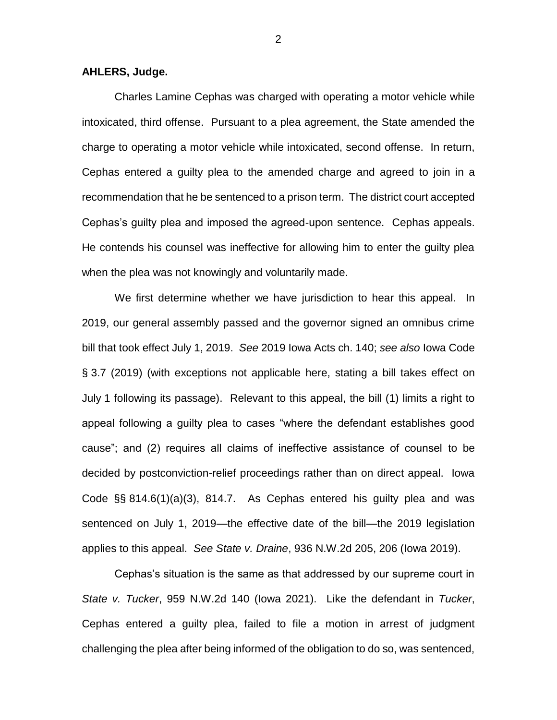## **AHLERS, Judge.**

Charles Lamine Cephas was charged with operating a motor vehicle while intoxicated, third offense. Pursuant to a plea agreement, the State amended the charge to operating a motor vehicle while intoxicated, second offense. In return, Cephas entered a guilty plea to the amended charge and agreed to join in a recommendation that he be sentenced to a prison term. The district court accepted Cephas's guilty plea and imposed the agreed-upon sentence. Cephas appeals. He contends his counsel was ineffective for allowing him to enter the guilty plea when the plea was not knowingly and voluntarily made.

We first determine whether we have jurisdiction to hear this appeal. In 2019, our general assembly passed and the governor signed an omnibus crime bill that took effect July 1, 2019. *See* 2019 Iowa Acts ch. 140; *see also* Iowa Code § 3.7 (2019) (with exceptions not applicable here, stating a bill takes effect on July 1 following its passage). Relevant to this appeal, the bill (1) limits a right to appeal following a guilty plea to cases "where the defendant establishes good cause"; and (2) requires all claims of ineffective assistance of counsel to be decided by postconviction-relief proceedings rather than on direct appeal. Iowa Code §§ 814.6(1)(a)(3), 814.7. As Cephas entered his guilty plea and was sentenced on July 1, 2019—the effective date of the bill—the 2019 legislation applies to this appeal. *See State v. Draine*, 936 N.W.2d 205, 206 (Iowa 2019).

Cephas's situation is the same as that addressed by our supreme court in *State v. Tucker*, 959 N.W.2d 140 (Iowa 2021). Like the defendant in *Tucker*, Cephas entered a guilty plea, failed to file a motion in arrest of judgment challenging the plea after being informed of the obligation to do so, was sentenced,

2